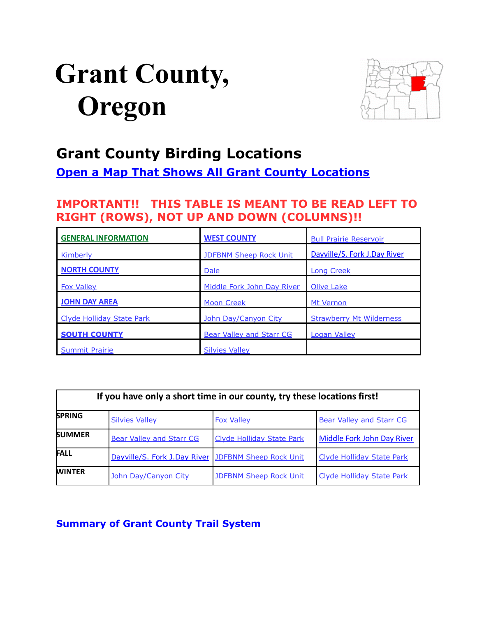# <span id="page-0-0"></span>**Grant County, Oregon**



# **Grant County Birding Locations**

**[Open a Map That Shows All Grant County Locations](https://www.google.com/maps/d/edit?mid=zVl1oTDALjf4.kLbydSXudCwo&usp=sharing)**

# **IMPORTANT!! THIS TABLE IS MEANT TO BE READ LEFT TO RIGHT (ROWS), NOT UP AND DOWN (COLUMNS)!!**

| <b>GENERAL INFORMATION</b>       | <b>WEST COUNTY</b>              | <b>Bull Prairie Reservoir</b>   |
|----------------------------------|---------------------------------|---------------------------------|
| <b>Kimberly</b>                  | <b>JDFBNM Sheep Rock Unit</b>   | Dayville/S. Fork J.Day River    |
| <b>NORTH COUNTY</b>              | <b>Dale</b>                     | <b>Long Creek</b>               |
| <b>Fox Valley</b>                | Middle Fork John Day River      | <b>Olive Lake</b>               |
| <b>JOHN DAY AREA</b>             | <b>Moon Creek</b>               | Mt Vernon                       |
| <b>Clyde Holliday State Park</b> | John Day/Canyon City            | <b>Strawberry Mt Wilderness</b> |
| <b>SOUTH COUNTY</b>              | <b>Bear Valley and Starr CG</b> | Logan Valley                    |
| <b>Summit Prairie</b>            | <b>Silvies Valley</b>           |                                 |

| If you have only a short time in our county, try these locations first! |                                                     |                                  |                                  |  |
|-------------------------------------------------------------------------|-----------------------------------------------------|----------------------------------|----------------------------------|--|
| <b>SPRING</b>                                                           | <b>Silvies Valley</b>                               | <b>Fox Valley</b>                | <b>Bear Valley and Starr CG</b>  |  |
| <b>SUMMER</b>                                                           | <b>Bear Valley and Starr CG</b>                     | <b>Clyde Holliday State Park</b> | Middle Fork John Day River       |  |
| <b>FALL</b>                                                             | Dayville/S. Fork J.Day River JDFBNM Sheep Rock Unit |                                  | <b>Clyde Holliday State Park</b> |  |
| <b>WINTER</b>                                                           | John Day/Canyon City                                | <b>JDFBNM Sheep Rock Unit</b>    | <b>Clyde Holliday State Park</b> |  |

### **[Summary of Grant County Trail System](http://www.gcoregonlive.com/trail_dir.php)**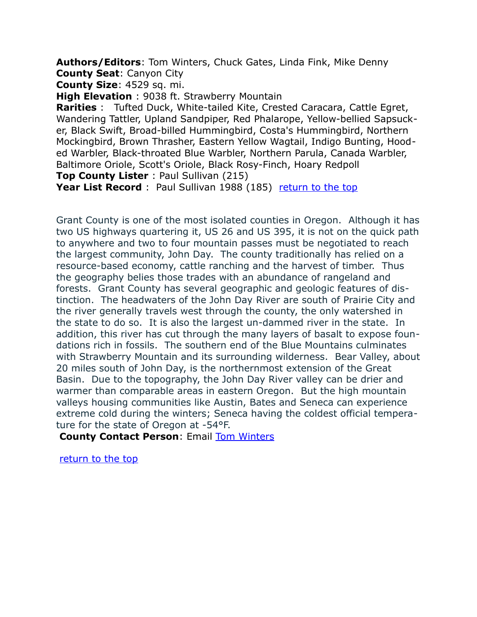<span id="page-1-1"></span>**Authors/Editors**: Tom Winters, Chuck Gates, Linda Fink, Mike Denny **County Seat**: Canyon City

**County Size**: 4529 sq. mi.

**High Elevation** : 9038 ft. Strawberry Mountain

**Rarities** : Tufted Duck, White-tailed Kite, Crested Caracara, Cattle Egret, Wandering Tattler, Upland Sandpiper, Red Phalarope, Yellow-bellied Sapsucker, Black Swift, Broad-billed Hummingbird, Costa's Hummingbird, Northern Mockingbird, Brown Thrasher, Eastern Yellow Wagtail, Indigo Bunting, Hooded Warbler, Black-throated Blue Warbler, Northern Parula, Canada Warbler, Baltimore Oriole, Scott's Oriole, Black Rosy-Finch, Hoary Redpoll **Top County Lister** : Paul Sullivan (215)

**Year List Record** : Paul Sullivan 1988 (185) [return to the top](#page-0-0)

Grant County is one of the most isolated counties in Oregon. Although it has two US highways quartering it, US 26 and US 395, it is not on the quick path to anywhere and two to four mountain passes must be negotiated to reach the largest community, John Day. The county traditionally has relied on a resource-based economy, cattle ranching and the harvest of timber. Thus the geography belies those trades with an abundance of rangeland and forests. Grant County has several geographic and geologic features of distinction. The headwaters of the John Day River are south of Prairie City and the river generally travels west through the county, the only watershed in the state to do so. It is also the largest un-dammed river in the state. In addition, this river has cut through the many layers of basalt to expose foundations rich in fossils. The southern end of the Blue Mountains culminates with Strawberry Mountain and its surrounding wilderness. Bear Valley, about 20 miles south of John Day, is the northernmost extension of the Great Basin. Due to the topography, the John Day River valley can be drier and warmer than comparable areas in eastern Oregon. But the high mountain valleys housing communities like Austin, Bates and Seneca can experience extreme cold during the winters; Seneca having the coldest official temperature for the state of Oregon at -54°F.

**County Contact Person: Email Tom Winters** 

<span id="page-1-0"></span>[return to the top](#page-0-0)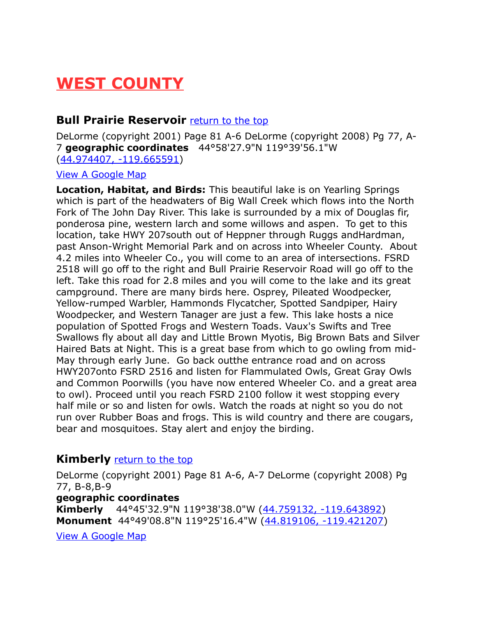# <span id="page-2-1"></span>**WEST COUNTY**

### **Bull Prairie Reservoir** [return to the top](#page-0-0)

DeLorme (copyright 2001) Page 81 A-6 DeLorme (copyright 2008) Pg 77, A-7 **geographic coordinates** 44°58'27.9"N 119°39'56.1"W [\(44.974407, -119.665591\)](https://www.google.com/maps/place/44%C2%B058)

### [View A Google Map](http://maps.google.com/maps/ms?hl=en&ie=UTF8&msa=0&msid=108036481085398338899.00046392813cf7c4c7daa&ll=44.776961,-119.094543&spn=0.801315,2.109375&z=10)

**Location, Habitat, and Birds:** This beautiful lake is on Yearling Springs which is part of the headwaters of Big Wall Creek which flows into the North Fork of The John Day River. This lake is surrounded by a mix of Douglas fir, ponderosa pine, western larch and some willows and aspen. To get to this location, take HWY 207south out of Heppner through Ruggs andHardman, past Anson-Wright Memorial Park and on across into Wheeler County. About 4.2 miles into Wheeler Co., you will come to an area of intersections. FSRD 2518 will go off to the right and Bull Prairie Reservoir Road will go off to the left. Take this road for 2.8 miles and you will come to the lake and its great campground. There are many birds here. Osprey, Pileated Woodpecker, Yellow-rumped Warbler, Hammonds Flycatcher, Spotted Sandpiper, Hairy Woodpecker, and Western Tanager are just a few. This lake hosts a nice population of Spotted Frogs and Western Toads. Vaux's Swifts and Tree Swallows fly about all day and Little Brown Myotis, Big Brown Bats and Silver Haired Bats at Night. This is a great base from which to go owling from mid-May through early June. Go back outthe entrance road and on across HWY207onto FSRD 2516 and listen for Flammulated Owls, Great Gray Owls and Common Poorwills (you have now entered Wheeler Co. and a great area to owl). Proceed until you reach FSRD 2100 follow it west stopping every half mile or so and listen for owls. Watch the roads at night so you do not run over Rubber Boas and frogs. This is wild country and there are cougars, bear and mosquitoes. Stay alert and enjoy the birding.

### <span id="page-2-0"></span>**Kimberly** [return to the top](#page-0-0)

DeLorme (copyright 2001) Page 81 A-6, A-7 DeLorme (copyright 2008) Pg 77, B-8,B-9

### **geographic coordinates**

**Kimberly** 44°45'32.9"N 119°38'38.0"W [\(44.759132, -119.643892\)](https://www.google.com/maps/place/44%C2%B045) **Monument** 44°49'08.8"N 119°25'16.4"W [\(44.819106, -119.421207\)](https://www.google.com/maps/place/44%C2%B049)

[View A Google Map](http://maps.google.com/maps/ms?hl=en&ie=UTF8&msa=0&msid=108036481085398338899.00046392813cf7c4c7daa&ll=44.776961,-119.094543&spn=0.801315,2.109375&z=10)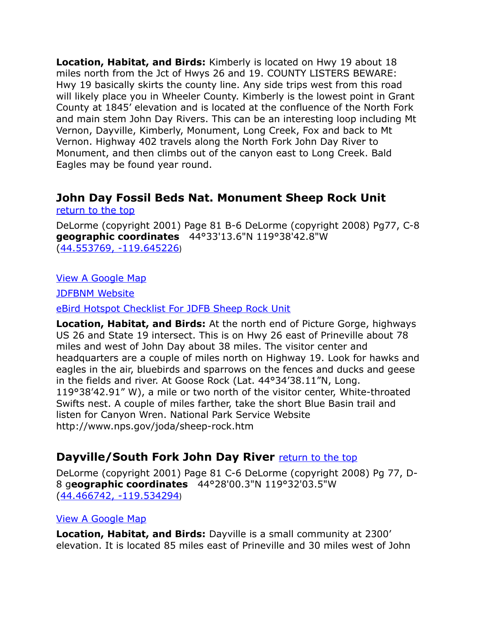**Location, Habitat, and Birds:** Kimberly is located on Hwy 19 about 18 miles north from the Jct of Hwys 26 and 19. COUNTY LISTERS BEWARE: Hwy 19 basically skirts the county line. Any side trips west from this road will likely place you in Wheeler County. Kimberly is the lowest point in Grant County at 1845' elevation and is located at the confluence of the North Fork and main stem John Day Rivers. This can be an interesting loop including Mt Vernon, Dayville, Kimberly, Monument, Long Creek, Fox and back to Mt Vernon. Highway 402 travels along the North Fork John Day River to Monument, and then climbs out of the canyon east to Long Creek. Bald Eagles may be found year round.

### <span id="page-3-0"></span>**John Day Fossil Beds Nat. Monument Sheep Rock Unit** [return to the top](#page-0-0)

DeLorme (copyright 2001) Page 81 B-6 DeLorme (copyright 2008) Pg77, C-8 **geographic coordinates** 44°33'13.6"N 119°38'42.8"W [\(44.553769, -119.645226](https://www.google.com/maps/place/44%C2%B033))

[View A Google Map](http://maps.google.com/maps/ms?hl=en&ie=UTF8&msa=0&msid=108036481085398338899.00046392813cf7c4c7daa&ll=44.776961,-119.094543&spn=0.801315,2.109375&z=10)

[JDFBNM Website](http://www.nps.gov/joda/sheep-rock.htm)

[eBird Hotspot Checklist For JDFB Sheep Rock Unit](http://ebird.org/ebird/hotspot/L786701?yr=all&m=&rank=mrec)

**Location, Habitat, and Birds:** At the north end of Picture Gorge, highways US 26 and State 19 intersect. This is on Hwy 26 east of Prineville about 78 miles and west of John Day about 38 miles. The visitor center and headquarters are a couple of miles north on Highway 19. Look for hawks and eagles in the air, bluebirds and sparrows on the fences and ducks and geese in the fields and river. At Goose Rock (Lat. 44°34'38.11"N, Long. 119°38'42.91" W), a mile or two north of the visitor center, White-throated Swifts nest. A couple of miles farther, take the short Blue Basin trail and listen for Canyon Wren. National Park Service Website http://www.nps.gov/joda/sheep-rock.htm

### <span id="page-3-1"></span>**Dayville/South Fork John Day River** [return to the top](#page-0-0)

DeLorme (copyright 2001) Page 81 C-6 DeLorme (copyright 2008) Pg 77, D-8 g**eographic coordinates** 44°28'00.3"N 119°32'03.5"W [\(44.466742, -119.534294](https://www.google.com/maps/place/44%C2%B028))

### [View A Google Map](http://maps.google.com/maps/ms?hl=en&ie=UTF8&msa=0&msid=108036481085398338899.00046392813cf7c4c7daa&ll=44.776961,-119.094543&spn=0.801315,2.109375&z=10)

**Location, Habitat, and Birds:** Dayville is a small community at 2300' elevation. It is located 85 miles east of Prineville and 30 miles west of John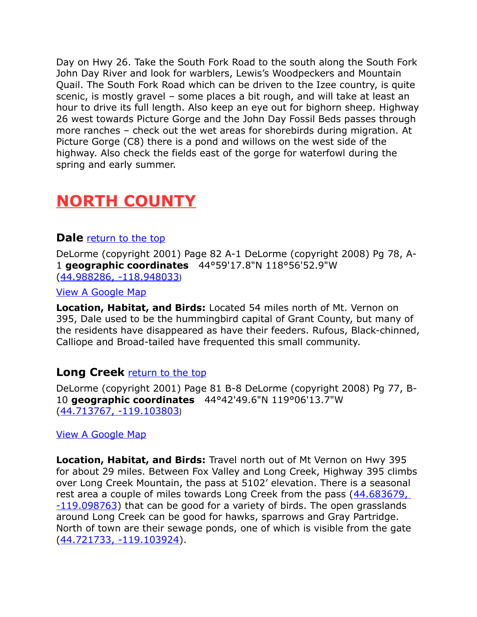Day on Hwy 26. Take the South Fork Road to the south along the South Fork John Day River and look for warblers, Lewis's Woodpeckers and Mountain Quail. The South Fork Road which can be driven to the Izee country, is quite scenic, is mostly gravel – some places a bit rough, and will take at least an hour to drive its full length. Also keep an eye out for bighorn sheep. Highway 26 west towards Picture Gorge and the John Day Fossil Beds passes through more ranches – check out the wet areas for shorebirds during migration. At Picture Gorge (C8) there is a pond and willows on the west side of the highway. Also check the fields east of the gorge for waterfowl during the spring and early summer.

# <span id="page-4-2"></span>**NORTH COUNTY**

### <span id="page-4-1"></span>**Dale** [return to the top](#page-0-0)

DeLorme (copyright 2001) Page 82 A-1 DeLorme (copyright 2008) Pg 78, A-1 **geographic coordinates** 44°59'17.8"N 118°56'52.9"W [\(44.988286, -118.948033](https://www.google.com/maps/place/44%C2%B059))

[View A Google Map](http://maps.google.com/maps/ms?hl=en&ie=UTF8&msa=0&msid=108036481085398338899.00046392813cf7c4c7daa&ll=44.776961,-119.094543&spn=0.801315,2.109375&z=10)

**Location, Habitat, and Birds:** Located 54 miles north of Mt. Vernon on 395, Dale used to be the hummingbird capital of Grant County, but many of the residents have disappeared as have their feeders. Rufous, Black-chinned, Calliope and Broad-tailed have frequented this small community.

### <span id="page-4-0"></span>**Long Creek** [return to the top](#page-0-0)

DeLorme (copyright 2001) Page 81 B-8 DeLorme (copyright 2008) Pg 77, B-10 **geographic coordinates** 44°42'49.6"N 119°06'13.7"W [\(44.713767, -119.103803](https://www.google.com/maps/place/44%C2%B042))

### [View A Google Map](http://maps.google.com/maps/ms?hl=en&ie=UTF8&msa=0&msid=108036481085398338899.00046392813cf7c4c7daa&ll=44.776961,-119.094543&spn=0.801315,2.109375&z=10)

**Location, Habitat, and Birds:** Travel north out of Mt Vernon on Hwy 395 for about 29 miles. Between Fox Valley and Long Creek, Highway 395 climbs over Long Creek Mountain, the pass at 5102' elevation. There is a seasonal rest area a couple of miles towards Long Creek from the pass (44.683679, [-119.098763\)](https://www.google.com/maps/place/44%C2%B041) that can be good for a variety of birds. The open grasslands around Long Creek can be good for hawks, sparrows and Gray Partridge. North of town are their sewage ponds, one of which is visible from the gate [\(44.721733, -119.103924\)](https://www.google.com/maps/place/44%C2%B043).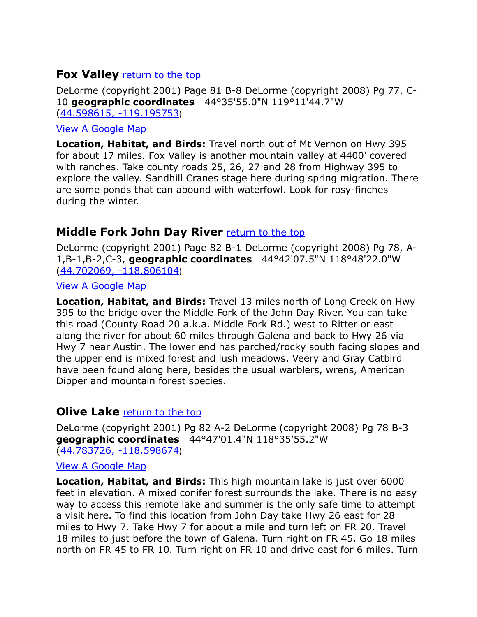### <span id="page-5-1"></span>**Fox Valley** [return to the top](#page-0-0)

DeLorme (copyright 2001) Page 81 B-8 DeLorme (copyright 2008) Pg 77, C-10 **geographic coordinates** 44°35'55.0"N 119°11'44.7"W [\(44.598615, -119.195753](https://www.google.com/maps/place/44%C2%B035))

### [View A Google Map](http://maps.google.com/maps/ms?hl=en&ie=UTF8&msa=0&msid=108036481085398338899.00046392813cf7c4c7daa&ll=44.776961,-119.094543&spn=0.801315,2.109375&z=10)

**Location, Habitat, and Birds:** Travel north out of Mt Vernon on Hwy 395 for about 17 miles. Fox Valley is another mountain valley at 4400' covered with ranches. Take county roads 25, 26, 27 and 28 from Highway 395 to explore the valley. Sandhill Cranes stage here during spring migration. There are some ponds that can abound with waterfowl. Look for rosy-finches during the winter.

### <span id="page-5-0"></span>**Middle Fork John Day River** [return to the top](#page-0-0)

DeLorme (copyright 2001) Page 82 B-1 DeLorme (copyright 2008) Pg 78, A-1,B-1,B-2,C-3, **geographic coordinates** 44°42'07.5"N 118°48'22.0"W [\(44.702069, -118.806104](https://www.google.com/maps/place/44%C2%B042))

### [View A Google Map](http://maps.google.com/maps/ms?hl=en&ie=UTF8&msa=0&msid=108036481085398338899.00046392813cf7c4c7daa&ll=44.776961,-119.094543&spn=0.801315,2.109375&z=10)

**Location, Habitat, and Birds:** Travel 13 miles north of Long Creek on Hwy 395 to the bridge over the Middle Fork of the John Day River. You can take this road (County Road 20 a.k.a. Middle Fork Rd.) west to Ritter or east along the river for about 60 miles through Galena and back to Hwy 26 via Hwy 7 near Austin. The lower end has parched/rocky south facing slopes and the upper end is mixed forest and lush meadows. Veery and Gray Catbird have been found along here, besides the usual warblers, wrens, American Dipper and mountain forest species.

### <span id="page-5-2"></span>**Olive Lake** [return to the top](#page-0-0)

DeLorme (copyright 2001) Pg 82 A-2 DeLorme (copyright 2008) Pg 78 B-3 **geographic coordinates** 44°47'01.4"N 118°35'55.2"W [\(44.783726, -118.598674](https://www.google.com/maps/place/44%C2%B047))

### [View A Google Map](http://maps.google.com/maps/ms?hl=en&ie=UTF8&msa=0&ll=44.542526,-118.017883&spn=0.777156,2.113495&z=10&msid=108036481085398338899.0004795fd402a4cda1b2f)

**Location, Habitat, and Birds:** This high mountain lake is just over 6000 feet in elevation. A mixed conifer forest surrounds the lake. There is no easy way to access this remote lake and summer is the only safe time to attempt a visit here. To find this location from John Day take Hwy 26 east for 28 miles to Hwy 7. Take Hwy 7 for about a mile and turn left on FR 20. Travel 18 miles to just before the town of Galena. Turn right on FR 45. Go 18 miles north on FR 45 to FR 10. Turn right on FR 10 and drive east for 6 miles. Turn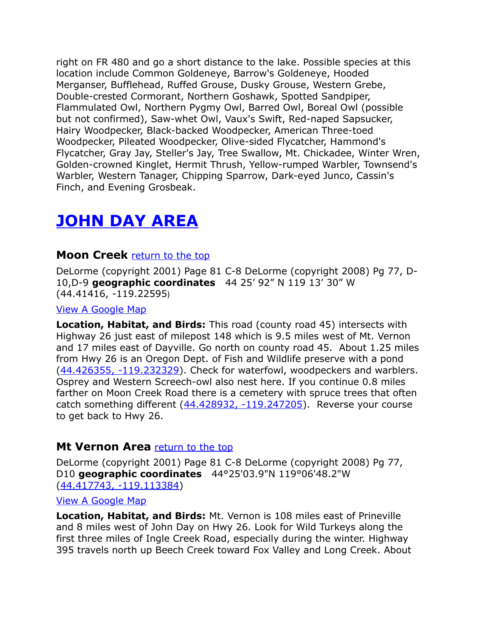right on FR 480 and go a short distance to the lake. Possible species at this location include Common Goldeneye, Barrow's Goldeneye, Hooded Merganser, Bufflehead, Ruffed Grouse, Dusky Grouse, Western Grebe, Double-crested Cormorant, Northern Goshawk, Spotted Sandpiper, Flammulated Owl, Northern Pygmy Owl, Barred Owl, Boreal Owl (possible but not confirmed), Saw-whet Owl, Vaux's Swift, Red-naped Sapsucker, Hairy Woodpecker, Black-backed Woodpecker, American Three-toed Woodpecker, Pileated Woodpecker, Olive-sided Flycatcher, Hammond's Flycatcher, Gray Jay, Steller's Jay, Tree Swallow, Mt. Chickadee, Winter Wren, Golden-crowned Kinglet, Hermit Thrush, Yellow-rumped Warbler, Townsend's Warbler, Western Tanager, Chipping Sparrow, Dark-eyed Junco, Cassin's Finch, and Evening Grosbeak.

# <span id="page-6-2"></span>**JOHN DAY AREA**

### <span id="page-6-1"></span>**Moon Creek** [return to the top](#page-0-0)

DeLorme (copyright 2001) Page 81 C-8 DeLorme (copyright 2008) Pg 77, D-10,D-9 **geographic coordinates** 44 25' 92" N 119 13' 30" W (44.41416, -119.22595)

#### [View A Google Map](http://maps.google.com/maps/ms?hl=en&ie=UTF8&msa=0&msid=108036481085398338899.00046392424a7c9c27981&ll=44.389636,-118.898849&spn=0.403336,1.054687&t=p&z=11)

**Location, Habitat, and Birds:** This road (county road 45) intersects with Highway 26 just east of milepost 148 which is 9.5 miles west of Mt. Vernon and 17 miles east of Dayville. Go north on county road 45. About 1.25 miles from Hwy 26 is an Oregon Dept. of Fish and Wildlife preserve with a pond [\(44.426355, -119.232329\)](https://www.google.com/maps/place/44%C2%B025). Check for waterfowl, woodpeckers and warblers. Osprey and Western Screech-owl also nest here. If you continue 0.8 miles farther on Moon Creek Road there is a cemetery with spruce trees that often catch something different [\(44.428932, -119.247205\)](https://www.google.com/maps/place/44%C2%B025). Reverse your course to get back to Hwy 26.

### <span id="page-6-0"></span>**Mt Vernon Area** [return to the top](#page-0-0)

DeLorme (copyright 2001) Page 81 C-8 DeLorme (copyright 2008) Pg 77, D10 **geographic coordinates** 44°25'03.9"N 119°06'48.2"W [\(44.417743, -119.113384\)](https://www.google.com/maps/place/44%C2%B025)

#### [View A Google Map](http://maps.google.com/maps/ms?hl=en&ie=UTF8&msa=0&msid=108036481085398338899.00046392424a7c9c27981&ll=44.389636,-118.898849&spn=0.403336,1.054687&t=p&z=11%3E)

**Location, Habitat, and Birds:** Mt. Vernon is 108 miles east of Prineville and 8 miles west of John Day on Hwy 26. Look for Wild Turkeys along the first three miles of Ingle Creek Road, especially during the winter. Highway 395 travels north up Beech Creek toward Fox Valley and Long Creek. About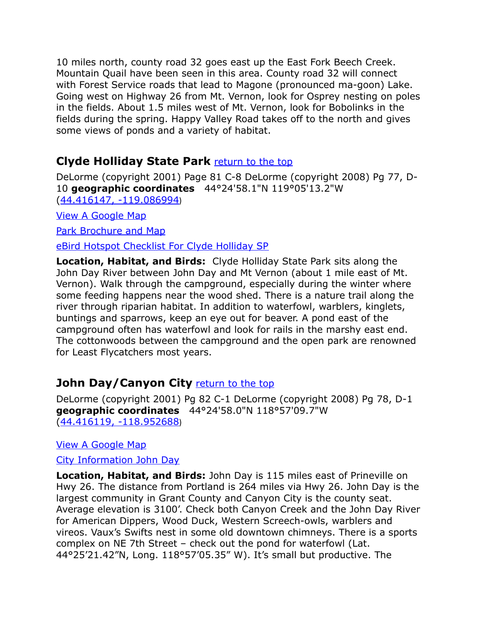10 miles north, county road 32 goes east up the East Fork Beech Creek. Mountain Quail have been seen in this area. County road 32 will connect with Forest Service roads that lead to Magone (pronounced ma-goon) Lake. Going west on Highway 26 from Mt. Vernon, look for Osprey nesting on poles in the fields. About 1.5 miles west of Mt. Vernon, look for Bobolinks in the fields during the spring. Happy Valley Road takes off to the north and gives some views of ponds and a variety of habitat.

## <span id="page-7-0"></span>**Clyde Holliday State Park** [return to the top](#page-0-0)

DeLorme (copyright 2001) Page 81 C-8 DeLorme (copyright 2008) Pg 77, D-10 **geographic coordinates** 44°24'58.1"N 119°05'13.2"W [\(44.416147, -119.086994](https://www.google.com/maps/place/44%C2%B024))

[View A Google Map](http://maps.google.com/maps/ms?hl=en&ie=UTF8&msa=0&msid=108036481085398338899.00046392424a7c9c27981&ll=44.389636,-118.898849&spn=0.403336,1.054687&t=p&z=11)

[Park Brochure and Map](http://www.oregonstateparks.org/park_11.php)

[eBird Hotspot Checklist For Clyde Holliday SP](http://ebird.org/ebird/hotspot/L454013?yr=all&m=&rank=mrec)

**Location, Habitat, and Birds:** Clyde Holliday State Park sits along the John Day River between John Day and Mt Vernon (about 1 mile east of Mt. Vernon). Walk through the campground, especially during the winter where some feeding happens near the wood shed. There is a nature trail along the river through riparian habitat. In addition to waterfowl, warblers, kinglets, buntings and sparrows, keep an eye out for beaver. A pond east of the campground often has waterfowl and look for rails in the marshy east end. The cottonwoods between the campground and the open park are renowned for Least Flycatchers most years.

# <span id="page-7-1"></span>**John Day/Canyon City** [return to the top](#page-0-0)

DeLorme (copyright 2001) Pg 82 C-1 DeLorme (copyright 2008) Pg 78, D-1 **geographic coordinates** 44°24'58.0"N 118°57'09.7"W [\(44.416119, -118.952688](https://www.google.com/maps/place/44%C2%B024))

[View A Google Map](http://maps.google.com/maps/ms?hl=en&ie=UTF8&msa=0&msid=108036481085398338899.00046392424a7c9c27981&ll=44.389636,-118.898849&spn=0.403336,1.054687&t=p&z=11)

### [City Information John Day](http://www.cityofjohnday.com/)

**Location, Habitat, and Birds:** John Day is 115 miles east of Prineville on Hwy 26. The distance from Portland is 264 miles via Hwy 26. John Day is the largest community in Grant County and Canyon City is the county seat. Average elevation is 3100'. Check both Canyon Creek and the John Day River for American Dippers, Wood Duck, Western Screech-owls, warblers and vireos. Vaux's Swifts nest in some old downtown chimneys. There is a sports complex on NE 7th Street – check out the pond for waterfowl (Lat. 44°25'21.42"N, Long. 118°57'05.35" W). It's small but productive. The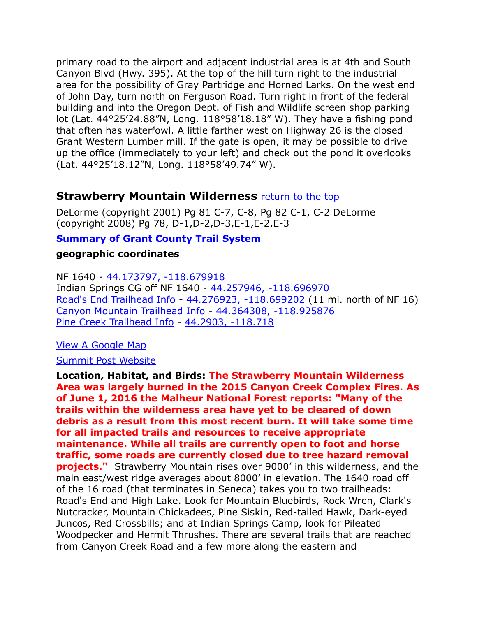primary road to the airport and adjacent industrial area is at 4th and South Canyon Blvd (Hwy. 395). At the top of the hill turn right to the industrial area for the possibility of Gray Partridge and Horned Larks. On the west end of John Day, turn north on Ferguson Road. Turn right in front of the federal building and into the Oregon Dept. of Fish and Wildlife screen shop parking lot (Lat. 44°25'24.88"N, Long. 118°58'18.18" W). They have a fishing pond that often has waterfowl. A little farther west on Highway 26 is the closed Grant Western Lumber mill. If the gate is open, it may be possible to drive up the office (immediately to your left) and check out the pond it overlooks (Lat. 44°25'18.12"N, Long. 118°58'49.74" W).

### <span id="page-8-0"></span>**Strawberry Mountain Wilderness [return to the top](#page-0-0)**

DeLorme (copyright 2001) Pg 81 C-7, C-8, Pg 82 C-1, C-2 DeLorme (copyright 2008) Pg 78, D-1,D-2,D-3,E-1,E-2,E-3

### **[Summary of Grant County Trail System](http://www.gcoregonlive.com/trail_dir.php)**

### **geographic coordinates**

NF 1640 - [44.173797, -118.679918](https://www.google.com/maps/place/44%C2%B010)  Indian Springs CG off NF 1640 - [44.257946, -118.696970](https://www.google.com/maps/place/44%C2%B015)  [Road's End Trailhead Info](http://www.gcoregonlive.com/trail_display.php/39) - [44.276923, -118.699202](https://www.google.com/maps/place/44%C2%B016) (11 mi. north of NF 16) [Canyon Mountain Trailhead Info](http://www.gcoregonlive.com/trail_display.php/5) - [44.364308, -118.925876](https://www.google.com/maps/place/44%C2%B021)  [Pine Creek Trailhead Info](http://www.gcoregonlive.com/trail_display.php/35) - [44.2903, -118.718](file:///C:/Users/CGates/Documents/Bird%20Stuff/Wiki%20Page/Wiki2/Bird%20Finding%20Guide%20Draft%201/Paste%20Upgrade/44.290294,%20-118.717657)

#### [View A Google Map](http://maps.google.com/maps/ms?hl=en&ie=UTF8&msa=0&msid=108036481085398338899.00046392424a7c9c27981&ll=44.389636,-118.898849&spn=0.403336,1.054687&t=p&z=11)

#### [Summit Post Website](http://www.summitpost.org/mountain/rock/151276/strawberry-mountain.html)

**Location, Habitat, and Birds: The Strawberry Mountain Wilderness Area was largely burned in the 2015 Canyon Creek Complex Fires. As of June 1, 2016 the Malheur National Forest reports: "Many of the trails within the wilderness area have yet to be cleared of down debris as a result from this most recent burn. It will take some time for all impacted trails and resources to receive appropriate maintenance. While all trails are currently open to foot and horse traffic, some roads are currently closed due to tree hazard removal projects."** Strawberry Mountain rises over 9000' in this wilderness, and the main east/west ridge averages about 8000' in elevation. The 1640 road off of the 16 road (that terminates in Seneca) takes you to two trailheads: Road's End and High Lake. Look for Mountain Bluebirds, Rock Wren, Clark's Nutcracker, Mountain Chickadees, Pine Siskin, Red-tailed Hawk, Dark-eyed Juncos, Red Crossbills; and at Indian Springs Camp, look for Pileated Woodpecker and Hermit Thrushes. There are several trails that are reached from Canyon Creek Road and a few more along the eastern and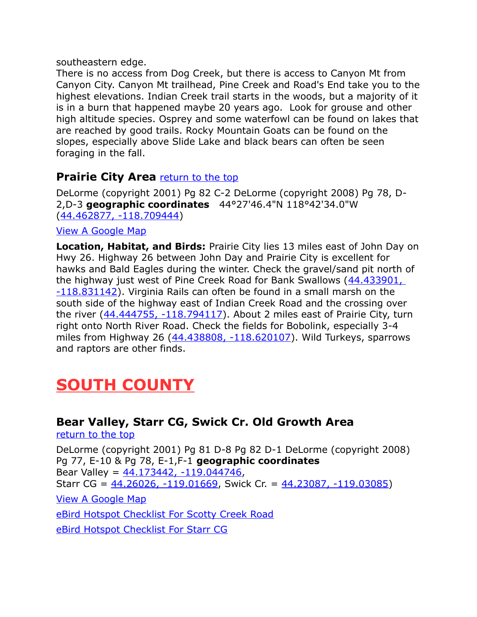southeastern edge.

There is no access from Dog Creek, but there is access to Canyon Mt from Canyon City. Canyon Mt trailhead, Pine Creek and Road's End take you to the highest elevations. Indian Creek trail starts in the woods, but a majority of it is in a burn that happened maybe 20 years ago. Look for grouse and other high altitude species. Osprey and some waterfowl can be found on lakes that are reached by good trails. Rocky Mountain Goats can be found on the slopes, especially above Slide Lake and black bears can often be seen foraging in the fall.

# **Prairie City Area** [return to the top](#page-0-0)

DeLorme (copyright 2001) Pg 82 C-2 DeLorme (copyright 2008) Pg 78, D-2,D-3 **geographic coordinates** 44°27'46.4"N 118°42'34.0"W [\(44.462877, -118.709444\)](https://www.google.com/maps/place/44%C2%B027)

### [View A Google Map](http://maps.google.com/maps/ms?hl=en&ie=UTF8&msa=0&msid=108036481085398338899.00046392424a7c9c27981&ll=44.389636,-118.898849&spn=0.403336,1.054687&t=p&z=11)

**Location, Habitat, and Birds:** Prairie City lies 13 miles east of John Day on Hwy 26. Highway 26 between John Day and Prairie City is excellent for hawks and Bald Eagles during the winter. Check the gravel/sand pit north of the highway just west of Pine Creek Road for Bank Swallows (44.433901, [-118.831142\)](https://www.google.com/maps/place/44%C2%B026). Virginia Rails can often be found in a small marsh on the south side of the highway east of Indian Creek Road and the crossing over the river  $(44.444755, -118.794117)$ . About 2 miles east of Prairie City, turn right onto North River Road. Check the fields for Bobolink, especially 3-4 miles from Highway 26 [\(44.438808, -118.620107\)](https://www.google.com/maps/place/44%C2%B026). Wild Turkeys, sparrows and raptors are other finds.

# <span id="page-9-1"></span>**SOUTH COUNTY**

# <span id="page-9-0"></span>**Bear Valley, Starr CG, Swick Cr. Old Growth Area**

[return to the top](#page-0-0)

DeLorme (copyright 2001) Pg 81 D-8 Pg 82 D-1 DeLorme (copyright 2008) Pg 77, E-10 & Pg 78, E-1,F-1 **geographic coordinates** Bear Valley =  $44.173442$ ,  $-119.044746$ , Starr CG =  $44.26026, -119.01669$ , Swick Cr. =  $44.23087, -119.03085$ ) [View A Google Map](http://maps.google.com/maps/ms?hl=en&ie=UTF8&msa=0&msid=108036481085398338899.00046391acae36d5b8d32&ll=44.264871,-118.924255&spn=0.404195,1.054688&z=11)

[eBird Hotspot Checklist For Scotty Creek Road](http://ebird.org/ebird/hotspot/L743425?yr=all&m=&rank=mrec)

[eBird Hotspot Checklist For Starr CG](http://ebird.org/ebird/hotspot/L1847480?yr=all&m=&rank=mrec)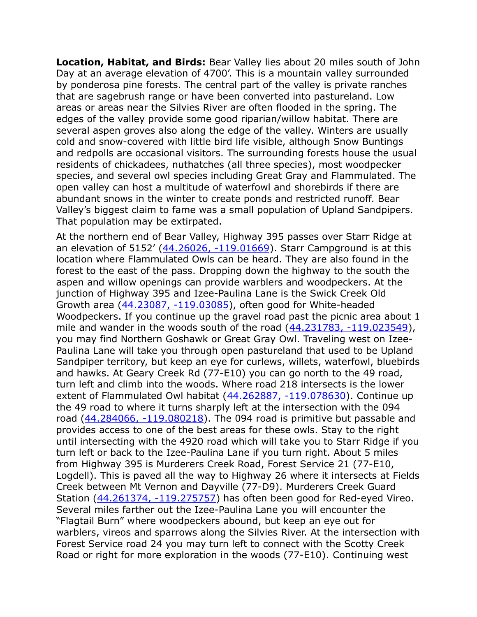**Location, Habitat, and Birds:** Bear Valley lies about 20 miles south of John Day at an average elevation of 4700'. This is a mountain valley surrounded by ponderosa pine forests. The central part of the valley is private ranches that are sagebrush range or have been converted into pastureland. Low areas or areas near the Silvies River are often flooded in the spring. The edges of the valley provide some good riparian/willow habitat. There are several aspen groves also along the edge of the valley. Winters are usually cold and snow-covered with little bird life visible, although Snow Buntings and redpolls are occasional visitors. The surrounding forests house the usual residents of chickadees, nuthatches (all three species), most woodpecker species, and several owl species including Great Gray and Flammulated. The open valley can host a multitude of waterfowl and shorebirds if there are abundant snows in the winter to create ponds and restricted runoff. Bear Valley's biggest claim to fame was a small population of Upland Sandpipers. That population may be extirpated.

At the northern end of Bear Valley, Highway 395 passes over Starr Ridge at an elevation of 5152' [\(44.26026, -119.01669\)](https://www.google.com/maps/place/44%C2%B015). Starr Campground is at this location where Flammulated Owls can be heard. They are also found in the forest to the east of the pass. Dropping down the highway to the south the aspen and willow openings can provide warblers and woodpeckers. At the junction of Highway 395 and Izee-Paulina Lane is the Swick Creek Old Growth area [\(44.23087, -119.03085\)](https://www.google.com/maps/place/44%C2%B013), often good for White-headed Woodpeckers. If you continue up the gravel road past the picnic area about 1 mile and wander in the woods south of the road  $(44.231783, -119.023549)$ , you may find Northern Goshawk or Great Gray Owl. Traveling west on Izee-Paulina Lane will take you through open pastureland that used to be Upland Sandpiper territory, but keep an eye for curlews, willets, waterfowl, bluebirds and hawks. At Geary Creek Rd (77-E10) you can go north to the 49 road, turn left and climb into the woods. Where road 218 intersects is the lower extent of Flammulated Owl habitat [\(44.262887, -119.078630\)](file:///C:/Users/CGates/Documents/Bird%20Stuff/Wiki%20Page/Wiki2/Bird%20Finding%20Guide%20Draft%201/Paste%20Upgrade/44.262887,%20-119.078630). Continue up the 49 road to where it turns sharply left at the intersection with the 094 road  $(44.284066, -119.080218)$ . The 094 road is primitive but passable and provides access to one of the best areas for these owls. Stay to the right until intersecting with the 4920 road which will take you to Starr Ridge if you turn left or back to the Izee-Paulina Lane if you turn right. About 5 miles from Highway 395 is Murderers Creek Road, Forest Service 21 (77-E10, Logdell). This is paved all the way to Highway 26 where it intersects at Fields Creek between Mt Vernon and Dayville (77-D9). Murderers Creek Guard Station [\(44.261374, -119.275757\)](https://www.google.com/maps/place/44%C2%B015) has often been good for Red-eyed Vireo. Several miles farther out the Izee-Paulina Lane you will encounter the "Flagtail Burn" where woodpeckers abound, but keep an eye out for warblers, vireos and sparrows along the Silvies River. At the intersection with Forest Service road 24 you may turn left to connect with the Scotty Creek Road or right for more exploration in the woods (77-E10). Continuing west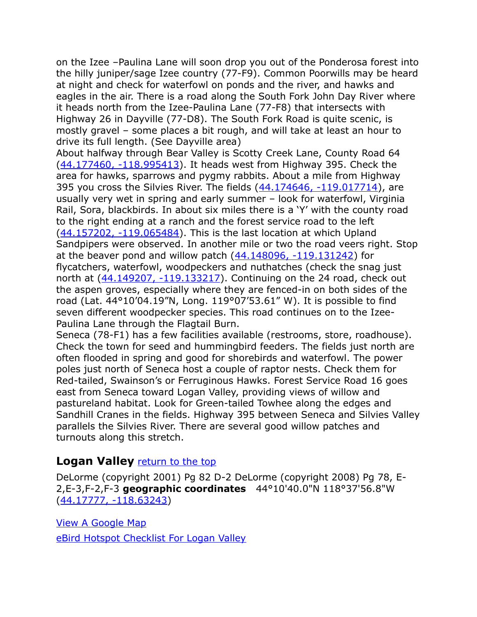on the Izee –Paulina Lane will soon drop you out of the Ponderosa forest into the hilly juniper/sage Izee country (77-F9). Common Poorwills may be heard at night and check for waterfowl on ponds and the river, and hawks and eagles in the air. There is a road along the South Fork John Day River where it heads north from the Izee-Paulina Lane (77-F8) that intersects with Highway 26 in Dayville (77-D8). The South Fork Road is quite scenic, is mostly gravel – some places a bit rough, and will take at least an hour to drive its full length. (See Dayville area)

About halfway through Bear Valley is Scotty Creek Lane, County Road 64 [\(44.177460, -118.995413\)](https://www.google.com/maps/place/44%C2%B010). It heads west from Highway 395. Check the area for hawks, sparrows and pygmy rabbits. About a mile from Highway 395 you cross the Silvies River. The fields [\(44.174646, -119.017714\)](https://www.google.com/maps/place/44%C2%B010), are usually very wet in spring and early summer – look for waterfowl, Virginia Rail, Sora, blackbirds. In about six miles there is a 'Y' with the county road to the right ending at a ranch and the forest service road to the left [\(44.157202, -119.065484\)](https://www.google.com/maps/place/44%C2%B009). This is the last location at which Upland Sandpipers were observed. In another mile or two the road veers right. Stop at the beaver pond and willow patch  $(44.148096, -119.131242)$  for flycatchers, waterfowl, woodpeckers and nuthatches (check the snag just north at  $(44.149207, -119.133217)$ . Continuing on the 24 road, check out the aspen groves, especially where they are fenced-in on both sides of the road (Lat. 44°10'04.19"N, Long. 119°07'53.61" W). It is possible to find seven different woodpecker species. This road continues on to the Izee-Paulina Lane through the Flagtail Burn.

Seneca (78-F1) has a few facilities available (restrooms, store, roadhouse). Check the town for seed and hummingbird feeders. The fields just north are often flooded in spring and good for shorebirds and waterfowl. The power poles just north of Seneca host a couple of raptor nests. Check them for Red-tailed, Swainson's or Ferruginous Hawks. Forest Service Road 16 goes east from Seneca toward Logan Valley, providing views of willow and pastureland habitat. Look for Green-tailed Towhee along the edges and Sandhill Cranes in the fields. Highway 395 between Seneca and Silvies Valley parallels the Silvies River. There are several good willow patches and turnouts along this stretch.

### <span id="page-11-0"></span>**Logan Valley** [return to the top](#page-0-0)

DeLorme (copyright 2001) Pg 82 D-2 DeLorme (copyright 2008) Pg 78, E-2,E-3,F-2,F-3 **geographic coordinates** 44°10'40.0"N 118°37'56.8"W [\(44.17777, -118.63243\)](https://www.google.com/maps/place/44%C2%B010)

[View A Google Map](http://maps.google.com/maps/ms?hl=en&ie=UTF8&msa=0&msid=108036481085398338899.00046392200ea81f6a87a&ll=44.194021,-118.660583&spn=0.404682,1.054688&z=11) [eBird Hotspot Checklist For Logan Valley](http://ebird.org/ebird/hotspot/L1624782?yr=all&m=&rank=mrec)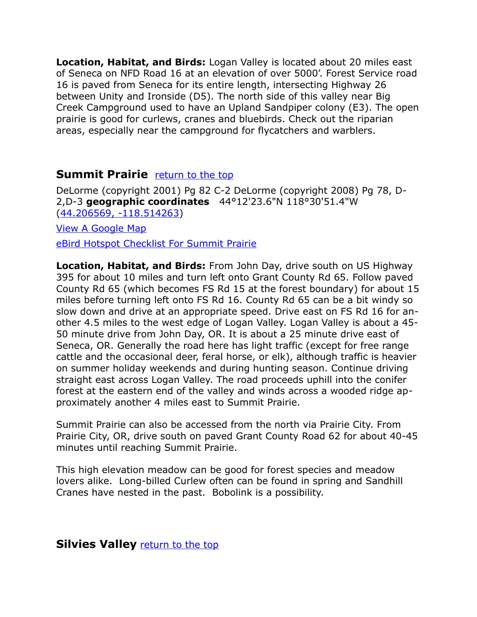**Location, Habitat, and Birds:** Logan Valley is located about 20 miles east of Seneca on NFD Road 16 at an elevation of over 5000'. Forest Service road 16 is paved from Seneca for its entire length, intersecting Highway 26 between Unity and Ironside (D5). The north side of this valley near Big Creek Campground used to have an Upland Sandpiper colony (E3). The open prairie is good for curlews, cranes and bluebirds. Check out the riparian areas, especially near the campground for flycatchers and warblers.

### <span id="page-12-1"></span>**Summit Prairie** [return to the top](#page-0-0)

DeLorme (copyright 2001) Pg 82 C-2 DeLorme (copyright 2008) Pg 78, D-2,D-3 **geographic coordinates** 44°12'23.6"N 118°30'51.4"W [\(44.206569, -118.514263\)](https://www.google.com/maps/place/44%C2%B012)

[View A Google Map](http://maps.google.com/maps/ms?hl=en&ie=UTF8&msa=0&msid=108036481085398338899.00046392424a7c9c27981&ll=44.389636,-118.898849&spn=0.403336,1.054687&t=p&z=11) [eBird Hotspot Checklist For Summit Prairie](http://ebird.org/ebird/hotspot/L752900?yr=all&m=&rank=mrec)

**Location, Habitat, and Birds:** From John Day, drive south on US Highway 395 for about 10 miles and turn left onto Grant County Rd 65. Follow paved County Rd 65 (which becomes FS Rd 15 at the forest boundary) for about 15 miles before turning left onto FS Rd 16. County Rd 65 can be a bit windy so slow down and drive at an appropriate speed. Drive east on FS Rd 16 for another 4.5 miles to the west edge of Logan Valley. Logan Valley is about a 45- 50 minute drive from John Day, OR. It is about a 25 minute drive east of Seneca, OR. Generally the road here has light traffic (except for free range cattle and the occasional deer, feral horse, or elk), although traffic is heavier on summer holiday weekends and during hunting season. Continue driving straight east across Logan Valley. The road proceeds uphill into the conifer forest at the eastern end of the valley and winds across a wooded ridge approximately another 4 miles east to Summit Prairie.

Summit Prairie can also be accessed from the north via Prairie City. From Prairie City, OR, drive south on paved Grant County Road 62 for about 40-45 minutes until reaching Summit Prairie.

This high elevation meadow can be good for forest species and meadow lovers alike. Long-billed Curlew often can be found in spring and Sandhill Cranes have nested in the past. Bobolink is a possibility.

<span id="page-12-0"></span>**Silvies Valley** [return to the top](#page-0-0)